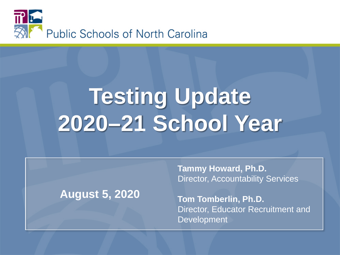

# **Testing Update 2020–21 School Year**

#### **August 5, 2020**

**Tammy Howard, Ph.D.** Director, Accountability Services

**Tom Tomberlin, Ph.D.** Director, Educator Recruitment and **Development**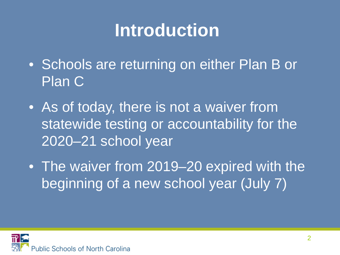#### **Introduction**

- Schools are returning on either Plan B or Plan C
- As of today, there is not a waiver from statewide testing or accountability for the 2020–21 school year
- The waiver from 2019–20 expired with the beginning of a new school year (July 7)

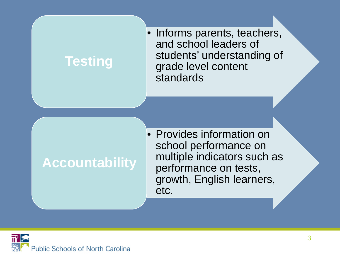#### **Testing**

• Informs parents, teachers, and school leaders of students' understanding of grade level content standards

#### **Accountability**

• Provides information on school performance on multiple indicators such as performance on tests, growth, English learners, etc.

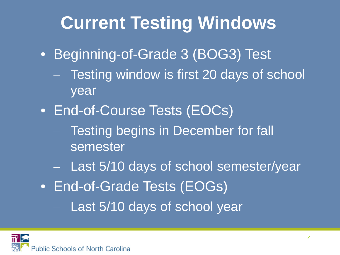#### **Current Testing Windows**

- Beginning-of-Grade 3 (BOG3) Test
	- Testing window is first 20 days of school year
- End-of-Course Tests (EOCs)
	- Testing begins in December for fall semester
	- Last 5/10 days of school semester/year
- End-of-Grade Tests (EOGs)
	- Last 5/10 days of school year

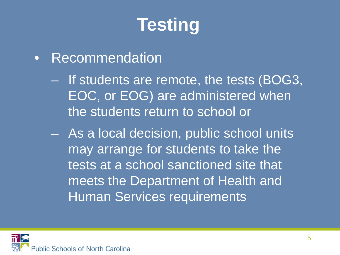# **Testing**

#### • Recommendation

- If students are remote, the tests (BOG3, EOC, or EOG) are administered when the students return to school or
- As a local decision, public school units may arrange for students to take the tests at a school sanctioned site that meets the Department of Health and Human Services requirements

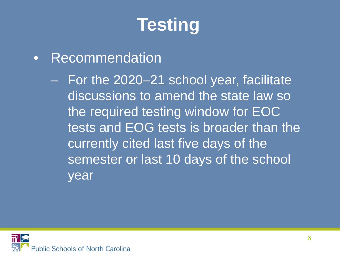# **Testing**

- Recommendation
	- For the 2020–21 school year, facilitate discussions to amend the state law so the required testing window for EOC tests and EOG tests is broader than the currently cited last five days of the semester or last 10 days of the school year

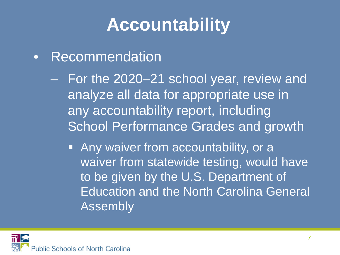## **Accountability**

- Recommendation
	- For the 2020–21 school year, review and analyze all data for appropriate use in any accountability report, including School Performance Grades and growth
		- **Any waiver from accountability, or a** waiver from statewide testing, would have to be given by the U.S. Department of Education and the North Carolina General Assembly

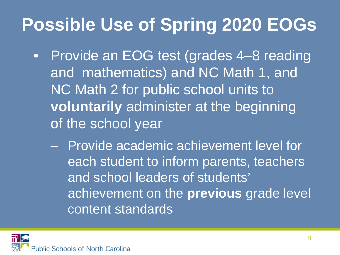### **Possible Use of Spring 2020 EOGs**

- Provide an EOG test (grades 4–8 reading and mathematics) and NC Math 1, and NC Math 2 for public school units to **voluntarily** administer at the beginning of the school year
	- Provide academic achievement level for each student to inform parents, teachers and school leaders of students' achievement on the **previous** grade level content standards